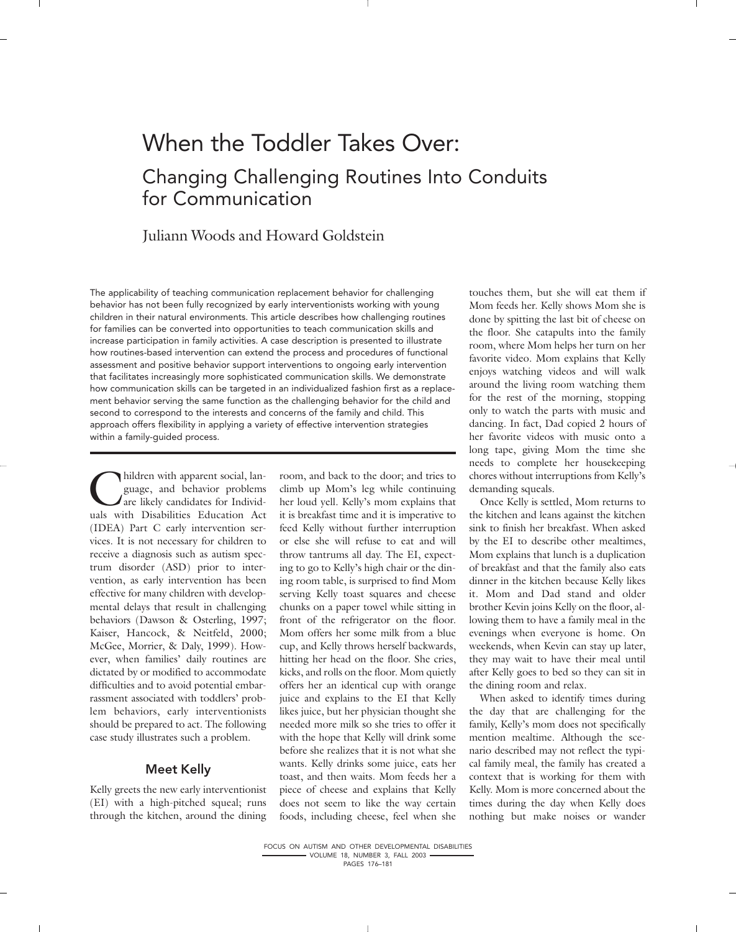# When the Toddler Takes Over: Changing Challenging Routines Into Conduits for Communication

## Juliann Woods and Howard Goldstein

The applicability of teaching communication replacement behavior for challenging behavior has not been fully recognized by early interventionists working with young children in their natural environments. This article describes how challenging routines for families can be converted into opportunities to teach communication skills and increase participation in family activities. A case description is presented to illustrate how routines-based intervention can extend the process and procedures of functional assessment and positive behavior support interventions to ongoing early intervention that facilitates increasingly more sophisticated communication skills. We demonstrate how communication skills can be targeted in an individualized fashion first as a replacement behavior serving the same function as the challenging behavior for the child and second to correspond to the interests and concerns of the family and child. This approach offers flexibility in applying a variety of effective intervention strategies within a family-guided process.

hildren with apparent social, language, and behavior problems are likely candidates for Individuals with Disabilities Education Act (IDEA) Part C early intervention services. It is not necessary for children to receive a diagnosis such as autism spectrum disorder (ASD) prior to intervention, as early intervention has been effective for many children with developmental delays that result in challenging behaviors (Dawson & Osterling, 1997; Kaiser, Hancock, & Neitfeld, 2000; McGee, Morrier, & Daly, 1999). However, when families' daily routines are dictated by or modified to accommodate difficulties and to avoid potential embarrassment associated with toddlers' problem behaviors, early interventionists should be prepared to act. The following case study illustrates such a problem.

## Meet Kelly

Kelly greets the new early interventionist (EI) with a high-pitched squeal; runs through the kitchen, around the dining

room, and back to the door; and tries to climb up Mom's leg while continuing her loud yell. Kelly's mom explains that it is breakfast time and it is imperative to feed Kelly without further interruption or else she will refuse to eat and will throw tantrums all day. The EI, expecting to go to Kelly's high chair or the dining room table, is surprised to find Mom serving Kelly toast squares and cheese chunks on a paper towel while sitting in front of the refrigerator on the floor. Mom offers her some milk from a blue cup, and Kelly throws herself backwards, hitting her head on the floor. She cries, kicks, and rolls on the floor. Mom quietly offers her an identical cup with orange juice and explains to the EI that Kelly likes juice, but her physician thought she needed more milk so she tries to offer it with the hope that Kelly will drink some before she realizes that it is not what she wants. Kelly drinks some juice, eats her toast, and then waits. Mom feeds her a piece of cheese and explains that Kelly does not seem to like the way certain foods, including cheese, feel when she

touches them, but she will eat them if Mom feeds her. Kelly shows Mom she is done by spitting the last bit of cheese on the floor. She catapults into the family room, where Mom helps her turn on her favorite video. Mom explains that Kelly enjoys watching videos and will walk around the living room watching them for the rest of the morning, stopping only to watch the parts with music and dancing. In fact, Dad copied 2 hours of her favorite videos with music onto a long tape, giving Mom the time she needs to complete her housekeeping chores without interruptions from Kelly's demanding squeals.

Once Kelly is settled, Mom returns to the kitchen and leans against the kitchen sink to finish her breakfast. When asked by the EI to describe other mealtimes, Mom explains that lunch is a duplication of breakfast and that the family also eats dinner in the kitchen because Kelly likes it. Mom and Dad stand and older brother Kevin joins Kelly on the floor, allowing them to have a family meal in the evenings when everyone is home. On weekends, when Kevin can stay up later, they may wait to have their meal until after Kelly goes to bed so they can sit in the dining room and relax.

When asked to identify times during the day that are challenging for the family, Kelly's mom does not specifically mention mealtime. Although the scenario described may not reflect the typical family meal, the family has created a context that is working for them with Kelly. Mom is more concerned about the times during the day when Kelly does nothing but make noises or wander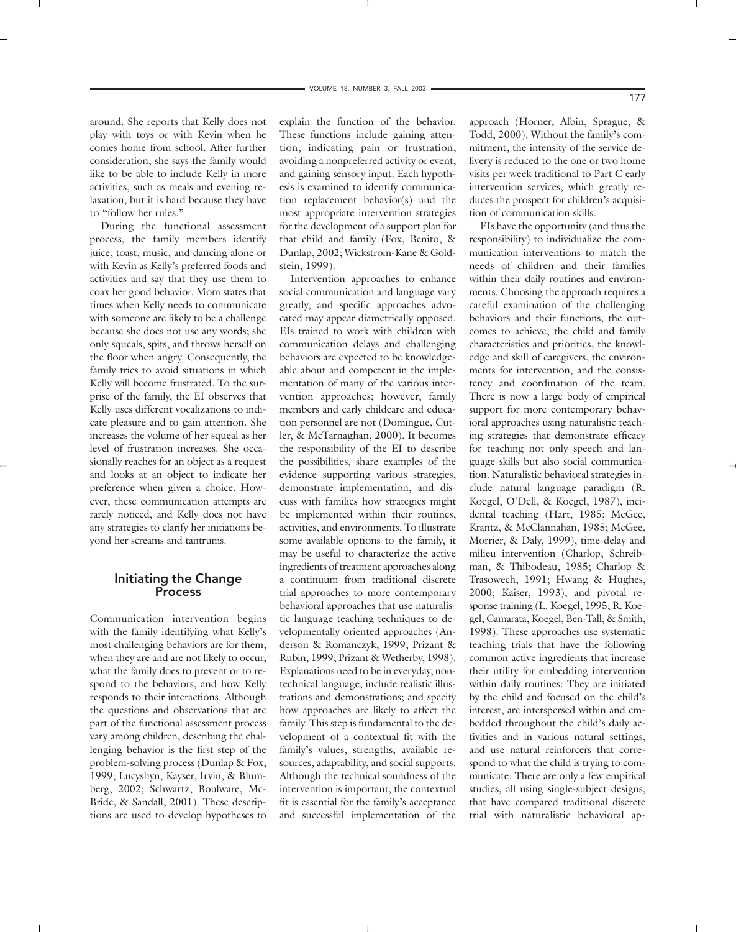around. She reports that Kelly does not play with toys or with Kevin when he comes home from school. After further consideration, she says the family would like to be able to include Kelly in more activities, such as meals and evening relaxation, but it is hard because they have to "follow her rules."

During the functional assessment process, the family members identify juice, toast, music, and dancing alone or with Kevin as Kelly's preferred foods and activities and say that they use them to coax her good behavior. Mom states that times when Kelly needs to communicate with someone are likely to be a challenge because she does not use any words; she only squeals, spits, and throws herself on the floor when angry. Consequently, the family tries to avoid situations in which Kelly will become frustrated. To the surprise of the family, the EI observes that Kelly uses different vocalizations to indicate pleasure and to gain attention. She increases the volume of her squeal as her level of frustration increases. She occasionally reaches for an object as a request and looks at an object to indicate her preference when given a choice. However, these communication attempts are rarely noticed, and Kelly does not have any strategies to clarify her initiations beyond her screams and tantrums.

#### Initiating the Change Process

Communication intervention begins with the family identifying what Kelly's most challenging behaviors are for them, when they are and are not likely to occur, what the family does to prevent or to respond to the behaviors, and how Kelly responds to their interactions. Although the questions and observations that are part of the functional assessment process vary among children, describing the challenging behavior is the first step of the problem-solving process (Dunlap & Fox, 1999; Lucyshyn, Kayser, Irvin, & Blumberg, 2002; Schwartz, Boulware, Mc-Bride, & Sandall, 2001). These descriptions are used to develop hypotheses to

explain the function of the behavior. These functions include gaining attention, indicating pain or frustration, avoiding a nonpreferred activity or event, and gaining sensory input. Each hypothesis is examined to identify communication replacement behavior(s) and the most appropriate intervention strategies for the development of a support plan for that child and family (Fox, Benito, & Dunlap, 2002; Wickstrom-Kane & Goldstein, 1999).

Intervention approaches to enhance social communication and language vary greatly, and specific approaches advocated may appear diametrically opposed. EIs trained to work with children with communication delays and challenging behaviors are expected to be knowledgeable about and competent in the implementation of many of the various intervention approaches; however, family members and early childcare and education personnel are not (Domingue, Cutler, & McTarnaghan, 2000). It becomes the responsibility of the EI to describe the possibilities, share examples of the evidence supporting various strategies, demonstrate implementation, and discuss with families how strategies might be implemented within their routines, activities, and environments. To illustrate some available options to the family, it may be useful to characterize the active ingredients of treatment approaches along a continuum from traditional discrete trial approaches to more contemporary behavioral approaches that use naturalistic language teaching techniques to developmentally oriented approaches (Anderson & Romanczyk, 1999; Prizant & Rubin, 1999; Prizant & Wetherby, 1998). Explanations need to be in everyday, nontechnical language; include realistic illustrations and demonstrations; and specify how approaches are likely to affect the family. This step is fundamental to the development of a contextual fit with the family's values, strengths, available resources, adaptability, and social supports. Although the technical soundness of the intervention is important, the contextual fit is essential for the family's acceptance and successful implementation of the

approach (Horner, Albin, Sprague, & Todd, 2000). Without the family's commitment, the intensity of the service delivery is reduced to the one or two home visits per week traditional to Part C early intervention services, which greatly reduces the prospect for children's acquisition of communication skills.

EIs have the opportunity (and thus the responsibility) to individualize the communication interventions to match the needs of children and their families within their daily routines and environments. Choosing the approach requires a careful examination of the challenging behaviors and their functions, the outcomes to achieve, the child and family characteristics and priorities, the knowledge and skill of caregivers, the environments for intervention, and the consistency and coordination of the team. There is now a large body of empirical support for more contemporary behavioral approaches using naturalistic teaching strategies that demonstrate efficacy for teaching not only speech and language skills but also social communication. Naturalistic behavioral strategies include natural language paradigm (R. Koegel, O'Dell, & Koegel, 1987), incidental teaching (Hart, 1985; McGee, Krantz, & McClannahan, 1985; McGee, Morrier, & Daly, 1999), time-delay and milieu intervention (Charlop, Schreibman, & Thibodeau, 1985; Charlop & Trasowech, 1991; Hwang & Hughes, 2000; Kaiser, 1993), and pivotal response training (L. Koegel, 1995; R. Koegel, Camarata, Koegel, Ben-Tall, & Smith, 1998). These approaches use systematic teaching trials that have the following common active ingredients that increase their utility for embedding intervention within daily routines: They are initiated by the child and focused on the child's interest, are interspersed within and embedded throughout the child's daily activities and in various natural settings, and use natural reinforcers that correspond to what the child is trying to communicate. There are only a few empirical studies, all using single-subject designs, that have compared traditional discrete trial with naturalistic behavioral ap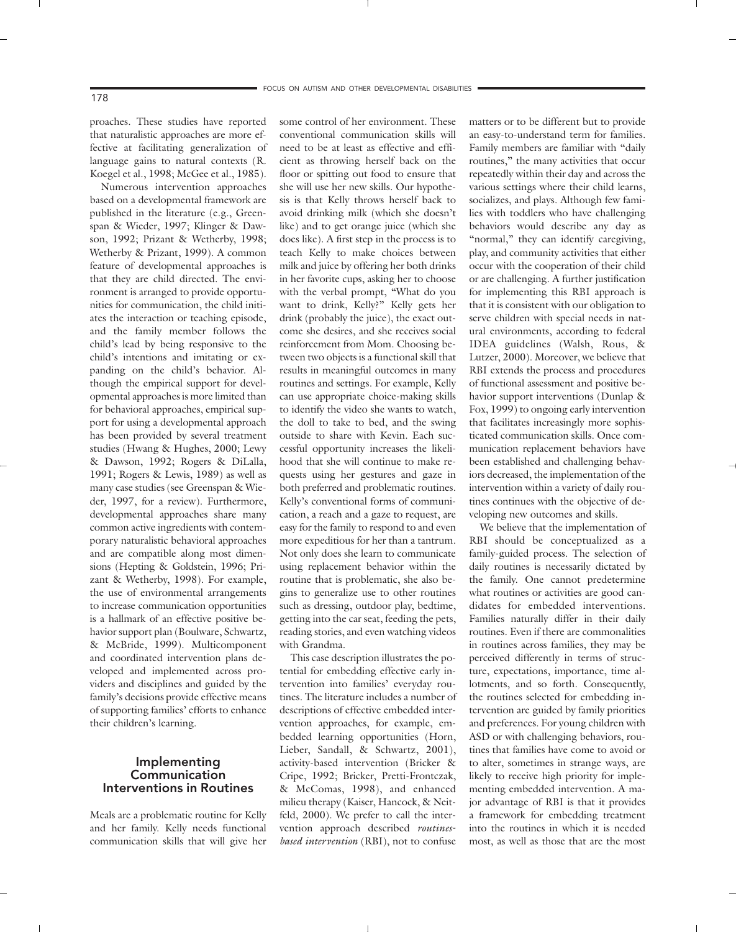proaches. These studies have reported that naturalistic approaches are more effective at facilitating generalization of language gains to natural contexts (R. Koegel et al., 1998; McGee et al., 1985).

Numerous intervention approaches based on a developmental framework are published in the literature (e.g., Greenspan & Wieder, 1997; Klinger & Dawson, 1992; Prizant & Wetherby, 1998; Wetherby & Prizant, 1999). A common feature of developmental approaches is that they are child directed. The environment is arranged to provide opportunities for communication, the child initiates the interaction or teaching episode, and the family member follows the child's lead by being responsive to the child's intentions and imitating or expanding on the child's behavior. Although the empirical support for developmental approaches is more limited than for behavioral approaches, empirical support for using a developmental approach has been provided by several treatment studies (Hwang & Hughes, 2000; Lewy & Dawson, 1992; Rogers & DiLalla, 1991; Rogers & Lewis, 1989) as well as many case studies (see Greenspan & Wieder, 1997, for a review). Furthermore, developmental approaches share many common active ingredients with contemporary naturalistic behavioral approaches and are compatible along most dimensions (Hepting & Goldstein, 1996; Prizant & Wetherby, 1998). For example, the use of environmental arrangements to increase communication opportunities is a hallmark of an effective positive behavior support plan (Boulware, Schwartz, & McBride, 1999). Multicomponent and coordinated intervention plans developed and implemented across providers and disciplines and guided by the family's decisions provide effective means of supporting families' efforts to enhance their children's learning.

#### Implementing Communication Interventions in Routines

Meals are a problematic routine for Kelly and her family. Kelly needs functional communication skills that will give her some control of her environment. These conventional communication skills will need to be at least as effective and efficient as throwing herself back on the floor or spitting out food to ensure that she will use her new skills. Our hypothesis is that Kelly throws herself back to avoid drinking milk (which she doesn't like) and to get orange juice (which she does like). A first step in the process is to teach Kelly to make choices between milk and juice by offering her both drinks in her favorite cups, asking her to choose with the verbal prompt, "What do you want to drink, Kelly?" Kelly gets her drink (probably the juice), the exact outcome she desires, and she receives social reinforcement from Mom. Choosing between two objects is a functional skill that results in meaningful outcomes in many routines and settings. For example, Kelly can use appropriate choice-making skills to identify the video she wants to watch, the doll to take to bed, and the swing outside to share with Kevin. Each successful opportunity increases the likelihood that she will continue to make requests using her gestures and gaze in both preferred and problematic routines. Kelly's conventional forms of communication, a reach and a gaze to request, are easy for the family to respond to and even more expeditious for her than a tantrum. Not only does she learn to communicate using replacement behavior within the routine that is problematic, she also begins to generalize use to other routines such as dressing, outdoor play, bedtime, getting into the car seat, feeding the pets, reading stories, and even watching videos with Grandma.

This case description illustrates the potential for embedding effective early intervention into families' everyday routines. The literature includes a number of descriptions of effective embedded intervention approaches, for example, embedded learning opportunities (Horn, Lieber, Sandall, & Schwartz, 2001), activity-based intervention (Bricker & Cripe, 1992; Bricker, Pretti-Frontczak, & McComas, 1998), and enhanced milieu therapy (Kaiser, Hancock, & Neitfeld, 2000). We prefer to call the intervention approach described *routinesbased intervention* (RBI), not to confuse

matters or to be different but to provide an easy-to-understand term for families. Family members are familiar with "daily routines," the many activities that occur repeatedly within their day and across the various settings where their child learns, socializes, and plays. Although few families with toddlers who have challenging behaviors would describe any day as "normal," they can identify caregiving, play, and community activities that either occur with the cooperation of their child or are challenging. A further justification for implementing this RBI approach is that it is consistent with our obligation to serve children with special needs in natural environments, according to federal IDEA guidelines (Walsh, Rous, & Lutzer, 2000). Moreover, we believe that RBI extends the process and procedures of functional assessment and positive behavior support interventions (Dunlap & Fox, 1999) to ongoing early intervention that facilitates increasingly more sophisticated communication skills. Once communication replacement behaviors have been established and challenging behaviors decreased, the implementation of the intervention within a variety of daily routines continues with the objective of developing new outcomes and skills.

We believe that the implementation of RBI should be conceptualized as a family-guided process. The selection of daily routines is necessarily dictated by the family. One cannot predetermine what routines or activities are good candidates for embedded interventions. Families naturally differ in their daily routines. Even if there are commonalities in routines across families, they may be perceived differently in terms of structure, expectations, importance, time allotments, and so forth. Consequently, the routines selected for embedding intervention are guided by family priorities and preferences. For young children with ASD or with challenging behaviors, routines that families have come to avoid or to alter, sometimes in strange ways, are likely to receive high priority for implementing embedded intervention. A major advantage of RBI is that it provides a framework for embedding treatment into the routines in which it is needed most, as well as those that are the most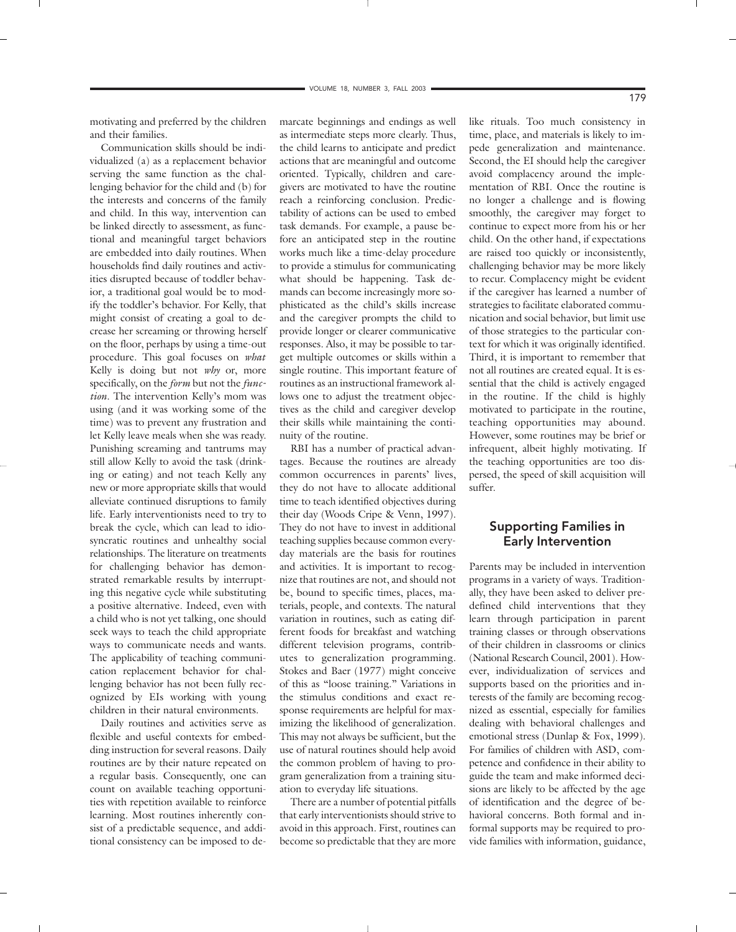motivating and preferred by the children and their families.

Communication skills should be individualized (a) as a replacement behavior serving the same function as the challenging behavior for the child and (b) for the interests and concerns of the family and child. In this way, intervention can be linked directly to assessment, as functional and meaningful target behaviors are embedded into daily routines. When households find daily routines and activities disrupted because of toddler behavior, a traditional goal would be to modify the toddler's behavior. For Kelly, that might consist of creating a goal to decrease her screaming or throwing herself on the floor, perhaps by using a time-out procedure. This goal focuses on *what* Kelly is doing but not *why* or, more specifically, on the *form* but not the *function*. The intervention Kelly's mom was using (and it was working some of the time) was to prevent any frustration and let Kelly leave meals when she was ready. Punishing screaming and tantrums may still allow Kelly to avoid the task (drinking or eating) and not teach Kelly any new or more appropriate skills that would alleviate continued disruptions to family life. Early interventionists need to try to break the cycle, which can lead to idiosyncratic routines and unhealthy social relationships. The literature on treatments for challenging behavior has demonstrated remarkable results by interrupting this negative cycle while substituting a positive alternative. Indeed, even with a child who is not yet talking, one should seek ways to teach the child appropriate ways to communicate needs and wants. The applicability of teaching communication replacement behavior for challenging behavior has not been fully recognized by EIs working with young children in their natural environments.

Daily routines and activities serve as flexible and useful contexts for embedding instruction for several reasons. Daily routines are by their nature repeated on a regular basis. Consequently, one can count on available teaching opportunities with repetition available to reinforce learning. Most routines inherently consist of a predictable sequence, and additional consistency can be imposed to de-

marcate beginnings and endings as well as intermediate steps more clearly. Thus, the child learns to anticipate and predict actions that are meaningful and outcome oriented. Typically, children and caregivers are motivated to have the routine reach a reinforcing conclusion. Predictability of actions can be used to embed task demands. For example, a pause before an anticipated step in the routine works much like a time-delay procedure to provide a stimulus for communicating what should be happening. Task demands can become increasingly more sophisticated as the child's skills increase and the caregiver prompts the child to provide longer or clearer communicative responses. Also, it may be possible to target multiple outcomes or skills within a single routine. This important feature of routines as an instructional framework allows one to adjust the treatment objectives as the child and caregiver develop their skills while maintaining the continuity of the routine.

RBI has a number of practical advantages. Because the routines are already common occurrences in parents' lives, they do not have to allocate additional time to teach identified objectives during their day (Woods Cripe & Venn, 1997). They do not have to invest in additional teaching supplies because common everyday materials are the basis for routines and activities. It is important to recognize that routines are not, and should not be, bound to specific times, places, materials, people, and contexts. The natural variation in routines, such as eating different foods for breakfast and watching different television programs, contributes to generalization programming. Stokes and Baer (1977) might conceive of this as "loose training." Variations in the stimulus conditions and exact response requirements are helpful for maximizing the likelihood of generalization. This may not always be sufficient, but the use of natural routines should help avoid the common problem of having to program generalization from a training situation to everyday life situations.

There are a number of potential pitfalls that early interventionists should strive to avoid in this approach. First, routines can become so predictable that they are more like rituals. Too much consistency in time, place, and materials is likely to impede generalization and maintenance. Second, the EI should help the caregiver avoid complacency around the implementation of RBI. Once the routine is no longer a challenge and is flowing smoothly, the caregiver may forget to continue to expect more from his or her child. On the other hand, if expectations are raised too quickly or inconsistently, challenging behavior may be more likely to recur. Complacency might be evident if the caregiver has learned a number of strategies to facilitate elaborated communication and social behavior, but limit use of those strategies to the particular context for which it was originally identified. Third, it is important to remember that not all routines are created equal. It is essential that the child is actively engaged in the routine. If the child is highly motivated to participate in the routine, teaching opportunities may abound. However, some routines may be brief or infrequent, albeit highly motivating. If the teaching opportunities are too dispersed, the speed of skill acquisition will suffer.

## Supporting Families in Early Intervention

Parents may be included in intervention programs in a variety of ways. Traditionally, they have been asked to deliver predefined child interventions that they learn through participation in parent training classes or through observations of their children in classrooms or clinics (National Research Council, 2001). However, individualization of services and supports based on the priorities and interests of the family are becoming recognized as essential, especially for families dealing with behavioral challenges and emotional stress (Dunlap & Fox, 1999). For families of children with ASD, competence and confidence in their ability to guide the team and make informed decisions are likely to be affected by the age of identification and the degree of behavioral concerns. Both formal and informal supports may be required to provide families with information, guidance,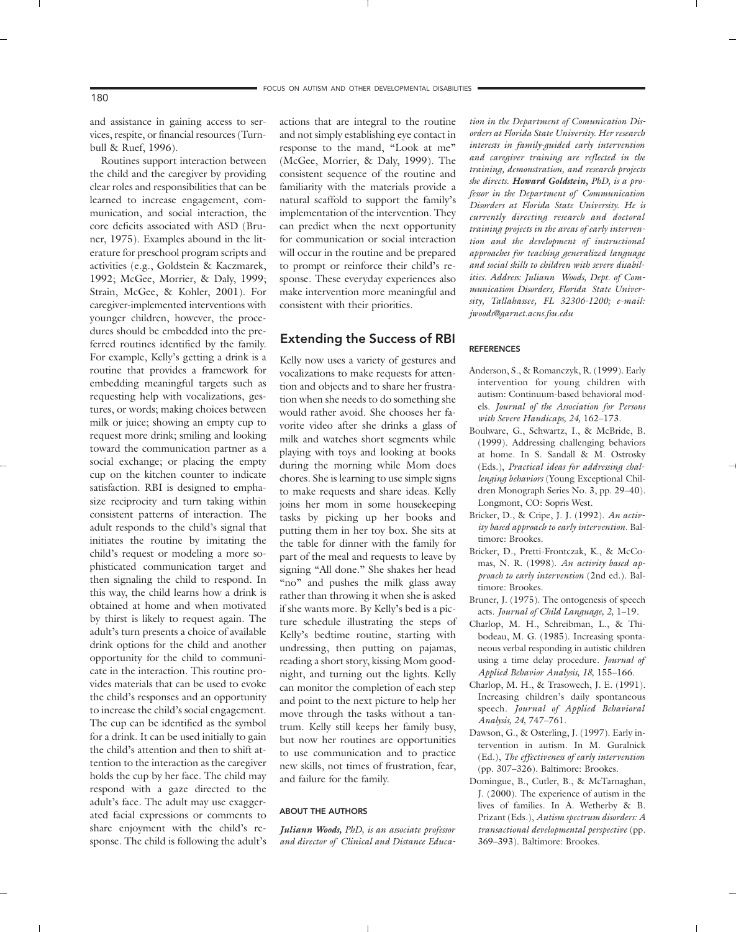and assistance in gaining access to services, respite, or financial resources (Turnbull & Ruef, 1996).

Routines support interaction between the child and the caregiver by providing clear roles and responsibilities that can be learned to increase engagement, communication, and social interaction, the core deficits associated with ASD (Bruner, 1975). Examples abound in the literature for preschool program scripts and activities (e.g., Goldstein & Kaczmarek, 1992; McGee, Morrier, & Daly, 1999; Strain, McGee, & Kohler, 2001). For caregiver-implemented interventions with younger children, however, the procedures should be embedded into the preferred routines identified by the family. For example, Kelly's getting a drink is a routine that provides a framework for embedding meaningful targets such as requesting help with vocalizations, gestures, or words; making choices between milk or juice; showing an empty cup to request more drink; smiling and looking toward the communication partner as a social exchange; or placing the empty cup on the kitchen counter to indicate satisfaction. RBI is designed to emphasize reciprocity and turn taking within consistent patterns of interaction. The adult responds to the child's signal that initiates the routine by imitating the child's request or modeling a more sophisticated communication target and then signaling the child to respond. In this way, the child learns how a drink is obtained at home and when motivated by thirst is likely to request again. The adult's turn presents a choice of available drink options for the child and another opportunity for the child to communicate in the interaction. This routine provides materials that can be used to evoke the child's responses and an opportunity to increase the child's social engagement. The cup can be identified as the symbol for a drink. It can be used initially to gain the child's attention and then to shift attention to the interaction as the caregiver holds the cup by her face. The child may respond with a gaze directed to the adult's face. The adult may use exaggerated facial expressions or comments to share enjoyment with the child's response. The child is following the adult's

actions that are integral to the routine and not simply establishing eye contact in response to the mand, "Look at me" (McGee, Morrier, & Daly, 1999). The consistent sequence of the routine and familiarity with the materials provide a natural scaffold to support the family's implementation of the intervention. They can predict when the next opportunity for communication or social interaction will occur in the routine and be prepared to prompt or reinforce their child's response. These everyday experiences also make intervention more meaningful and consistent with their priorities.

#### Extending the Success of RBI

Kelly now uses a variety of gestures and vocalizations to make requests for attention and objects and to share her frustration when she needs to do something she would rather avoid. She chooses her favorite video after she drinks a glass of milk and watches short segments while playing with toys and looking at books during the morning while Mom does chores. She is learning to use simple signs to make requests and share ideas. Kelly joins her mom in some housekeeping tasks by picking up her books and putting them in her toy box. She sits at the table for dinner with the family for part of the meal and requests to leave by signing "All done." She shakes her head "no" and pushes the milk glass away rather than throwing it when she is asked if she wants more. By Kelly's bed is a picture schedule illustrating the steps of Kelly's bedtime routine, starting with undressing, then putting on pajamas, reading a short story, kissing Mom goodnight, and turning out the lights. Kelly can monitor the completion of each step and point to the next picture to help her move through the tasks without a tantrum. Kelly still keeps her family busy, but now her routines are opportunities to use communication and to practice new skills, not times of frustration, fear, and failure for the family.

#### ABOUT THE AUTHORS

*Juliann Woods, PhD, is an associate professor and director of Clinical and Distance Educa-*

*tion in the Department of Comunication Disorders at Florida State University. Her research interests in family-guided early intervention and caregiver training are reflected in the training, demonstration, and research projects she directs. Howard Goldstein, PhD, is a professor in the Department of Communication Disorders at Florida State University. He is currently directing research and doctoral training projects in the areas of early intervention and the development of instructional approaches for teaching generalized language and social skills to children with severe disabilities. Address: Juliann Woods, Dept. of Communication Disorders, Florida State University, Tallahassee, FL 32306-1200; e-mail: jwoods@garnet.acns.fsu.edu*

#### REFERENCES

- Anderson, S., & Romanczyk, R. (1999). Early intervention for young children with autism: Continuum-based behavioral models. *Journal of the Association for Persons with Severe Handicaps, 24,* 162–173.
- Boulware, G., Schwartz, I., & McBride, B. (1999). Addressing challenging behaviors at home. In S. Sandall & M. Ostrosky (Eds.), *Practical ideas for addressing challenging behaviors* (Young Exceptional Children Monograph Series No. 3, pp. 29–40). Longmont, CO: Sopris West.
- Bricker, D., & Cripe, J. J. (1992). *An activity based approach to early intervention.* Baltimore: Brookes.
- Bricker, D., Pretti-Frontczak, K., & McComas, N. R. (1998). *An activity based approach to early intervention* (2nd ed.). Baltimore: Brookes.
- Bruner, J. (1975). The ontogenesis of speech acts. *Journal of Child Language, 2,* 1–19.
- Charlop, M. H., Schreibman, L., & Thibodeau, M. G. (1985). Increasing spontaneous verbal responding in autistic children using a time delay procedure. *Journal of Applied Behavior Analysis, 18,* 155–166.
- Charlop, M. H., & Trasowech, J. E. (1991). Increasing children's daily spontaneous speech. *Journal of Applied Behavioral Analysis, 24,* 747–761.
- Dawson, G., & Osterling, J. (1997). Early intervention in autism. In M. Guralnick (Ed.), *The effectiveness of early intervention* (pp. 307–326). Baltimore: Brookes.
- Domingue, B., Cutler, B., & McTarnaghan, J. (2000). The experience of autism in the lives of families. In A. Wetherby & B. Prizant (Eds.), *Autism spectrum disorders: A transactional developmental perspective* (pp. 369–393). Baltimore: Brookes.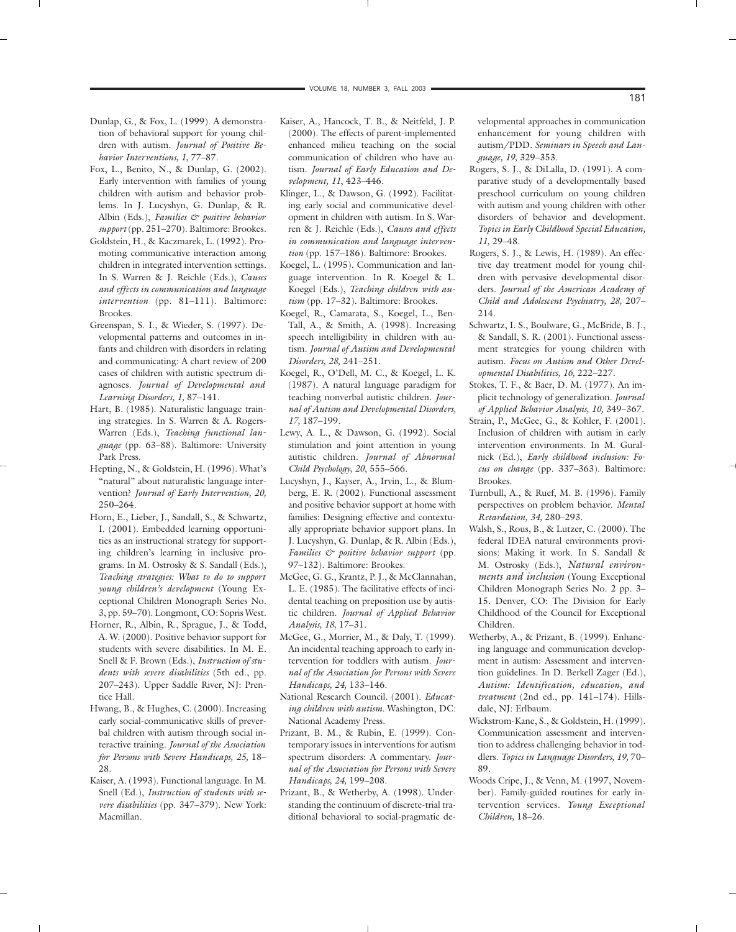- Dunlap, G., & Fox, L. (1999). A demonstration of behavioral support for young children with autism. *Journal of Positive Behavior Interventions, 1,* 77–87.
- Fox, L., Benito, N., & Dunlap, G. (2002). Early intervention with families of young children with autism and behavior problems. In J. Lucyshyn, G. Dunlap, & R. Albin (Eds.), *Families & positive behavior support* (pp. 251–270). Baltimore: Brookes.
- Goldstein, H., & Kaczmarek, L. (1992). Promoting communicative interaction among children in integrated intervention settings. In S. Warren & J. Reichle (Eds.), *Causes and effects in communication and language intervention* (pp. 81–111). Baltimore: Brookes.
- Greenspan, S. I., & Wieder, S. (1997). Developmental patterns and outcomes in infants and children with disorders in relating and communicating: A chart review of 200 cases of children with autistic spectrum diagnoses. *Journal of Developmental and Learning Disorders, 1,* 87–141.
- Hart, B. (1985). Naturalistic language training strategies. In S. Warren & A. Rogers-Warren (Eds.), *Teaching functional language* (pp. 63–88). Baltimore: University Park Press.
- Hepting, N., & Goldstein, H. (1996). What's "natural" about naturalistic language intervention? *Journal of Early Intervention, 20,* 250–264.
- Horn, E., Lieber, J., Sandall, S., & Schwartz, I. (2001). Embedded learning opportunities as an instructional strategy for supporting children's learning in inclusive programs. In M. Ostrosky & S. Sandall (Eds.), *Teaching strategies: What to do to support young children's development* (Young Exceptional Children Monograph Series No. 3, pp. 59–70). Longmont, CO: Sopris West.
- Horner, R., Albin, R., Sprague, J., & Todd, A. W. (2000). Positive behavior support for students with severe disabilities. In M. E. Snell & F. Brown (Eds.), *Instruction of students with severe disabilities* (5th ed., pp. 207–243). Upper Saddle River, NJ: Prentice Hall.
- Hwang, B., & Hughes, C. (2000). Increasing early social-communicative skills of preverbal children with autism through social interactive training. *Journal of the Association for Persons with Severe Handicaps, 25,* 18– 28.
- Kaiser, A. (1993). Functional language. In M. Snell (Ed.), *Instruction of students with severe disabilities* (pp. 347–379). New York: Macmillan.
- Kaiser, A., Hancock, T. B., & Neitfeld, J. P. (2000). The effects of parent-implemented enhanced milieu teaching on the social communication of children who have autism. *Journal of Early Education and Development, 11*, 423–446.
- Klinger, L., & Dawson, G. (1992). Facilitating early social and communicative development in children with autism. In S. Warren & J. Reichle (Eds.), *Causes and effects in communication and language intervention* (pp. 157–186). Baltimore: Brookes.
- Koegel, L. (1995). Communication and language intervention. In R. Koegel & L. Koegel (Eds.), *Teaching children with autism* (pp. 17–32). Baltimore: Brookes.
- Koegel, R., Camarata, S., Koegel, L., Ben-Tall, A., & Smith, A. (1998). Increasing speech intelligibility in children with autism. *Journal of Autism and Developmental Disorders, 28,* 241–251.
- Koegel, R., O'Dell, M. C., & Koegel, L. K. (1987). A natural language paradigm for teaching nonverbal autistic children. *Journal of Autism and Developmental Disorders, 17,* 187–199.
- Lewy, A. L., & Dawson, G. (1992). Social stimulation and joint attention in young autistic children. *Journal of Abnormal Child Psychology, 20*, 555–566.
- Lucyshyn, J., Kayser, A., Irvin, L., & Blumberg, E. R. (2002). Functional assessment and positive behavior support at home with families: Designing effective and contextually appropriate behavior support plans. In J. Lucyshyn, G. Dunlap, & R. Albin (Eds.), *Families & positive behavior support* (pp. 97–132). Baltimore: Brookes.
- McGee, G. G., Krantz, P. J., & McClannahan, L. E. (1985). The facilitative effects of incidental teaching on preposition use by autistic children. *Journal of Applied Behavior Analysis, 18,* 17–31.
- McGee, G., Morrier, M., & Daly, T. (1999). An incidental teaching approach to early intervention for toddlers with autism. *Journal of the Association for Persons with Severe Handicaps, 24,* 133–146.
- National Research Council. (2001). *Educating children with autism.* Washington, DC: National Academy Press.
- Prizant, B. M., & Rubin, E. (1999). Contemporary issues in interventions for autism spectrum disorders: A commentary. *Journal of the Association for Persons with Severe Handicaps, 24,* 199–208.
- Prizant, B., & Wetherby, A. (1998). Understanding the continuum of discrete-trial traditional behavioral to social-pragmatic de-

velopmental approaches in communication enhancement for young children with autism/PDD. *Seminars in Speech and Language, 19,* 329–353.

- Rogers, S. J., & DiLalla, D. (1991). A comparative study of a developmentally based preschool curriculum on young children with autism and young children with other disorders of behavior and development. *Topics in Early Childhood Special Education, 11,* 29–48.
- Rogers, S. J., & Lewis, H. (1989). An effective day treatment model for young children with pervasive developmental disorders. *Journal of the American Academy of Child and Adolescent Psychiatry, 28,* 207– 214.
- Schwartz, I. S., Boulware, G., McBride, B. J., & Sandall, S. R. (2001). Functional assessment strategies for young children with autism. *Focus on Autism and Other Developmental Disabilities, 16,* 222–227.
- Stokes, T. F., & Baer, D. M. (1977). An implicit technology of generalization. *Journal of Applied Behavior Analysis, 10,* 349–367.
- Strain, P., McGee, G., & Kohler, F. (2001). Inclusion of children with autism in early intervention environments. In M. Guralnick (Ed.), *Early childhood inclusion: Focus on change* (pp. 337–363). Baltimore: Brookes.
- Turnbull, A., & Ruef, M. B. (1996). Family perspectives on problem behavior. *Mental Retardation, 34,* 280–293.
- Walsh, S., Rous, B., & Lutzer, C. (2000). The federal IDEA natural environments provisions: Making it work. In S. Sandall & M. Ostrosky (Eds.), *Natural environments and inclusion* (Young Exceptional Children Monograph Series No. 2 pp. 3– 15. Denver, CO: The Division for Early Childhood of the Council for Exceptional Children.
- Wetherby, A., & Prizant, B. (1999). Enhancing language and communication development in autism: Assessment and intervention guidelines. In D. Berkell Zager (Ed.), *Autism: Identification, education, and treatment* (2nd ed., pp. 141–174). Hillsdale, NJ: Erlbaum.
- Wickstrom-Kane, S., & Goldstein, H. (1999). Communication assessment and intervention to address challenging behavior in toddlers. *Topics in Language Disorders, 19,* 70– 89.
- Woods Cripe, J., & Venn, M. (1997, November). Family-guided routines for early intervention services. *Young Exceptional Children,* 18–26.